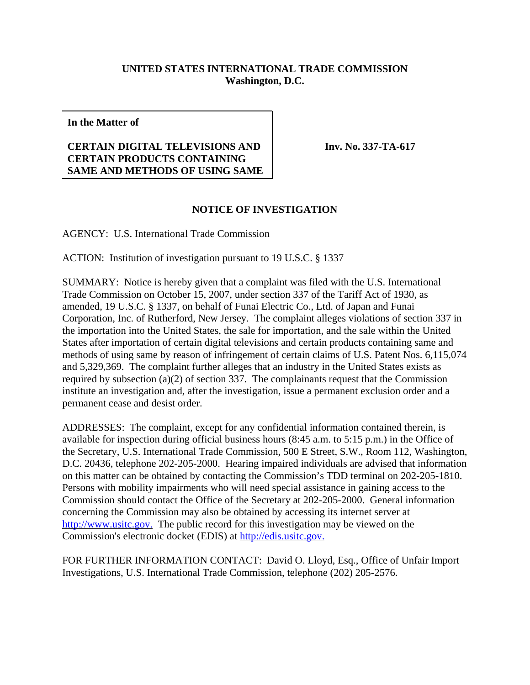## **UNITED STATES INTERNATIONAL TRADE COMMISSION Washington, D.C.**

**In the Matter of**

## **CERTAIN DIGITAL TELEVISIONS AND CERTAIN PRODUCTS CONTAINING SAME AND METHODS OF USING SAME**

**Inv. No. 337-TA-617**

## **NOTICE OF INVESTIGATION**

AGENCY: U.S. International Trade Commission

ACTION: Institution of investigation pursuant to 19 U.S.C. § 1337

SUMMARY: Notice is hereby given that a complaint was filed with the U.S. International Trade Commission on October 15, 2007, under section 337 of the Tariff Act of 1930, as amended, 19 U.S.C. § 1337, on behalf of Funai Electric Co., Ltd. of Japan and Funai Corporation, Inc. of Rutherford, New Jersey. The complaint alleges violations of section 337 in the importation into the United States, the sale for importation, and the sale within the United States after importation of certain digital televisions and certain products containing same and methods of using same by reason of infringement of certain claims of U.S. Patent Nos. 6,115,074 and 5,329,369. The complaint further alleges that an industry in the United States exists as required by subsection (a)(2) of section 337. The complainants request that the Commission institute an investigation and, after the investigation, issue a permanent exclusion order and a permanent cease and desist order.

ADDRESSES: The complaint, except for any confidential information contained therein, is available for inspection during official business hours (8:45 a.m. to 5:15 p.m.) in the Office of the Secretary, U.S. International Trade Commission, 500 E Street, S.W., Room 112, Washington, D.C. 20436, telephone 202-205-2000. Hearing impaired individuals are advised that information on this matter can be obtained by contacting the Commission's TDD terminal on 202-205-1810. Persons with mobility impairments who will need special assistance in gaining access to the Commission should contact the Office of the Secretary at 202-205-2000. General information concerning the Commission may also be obtained by accessing its internet server at http://www.usitc.gov. The public record for this investigation may be viewed on the Commission's electronic docket (EDIS) at http://edis.usitc.gov.

FOR FURTHER INFORMATION CONTACT: David O. Lloyd, Esq., Office of Unfair Import Investigations, U.S. International Trade Commission, telephone (202) 205-2576.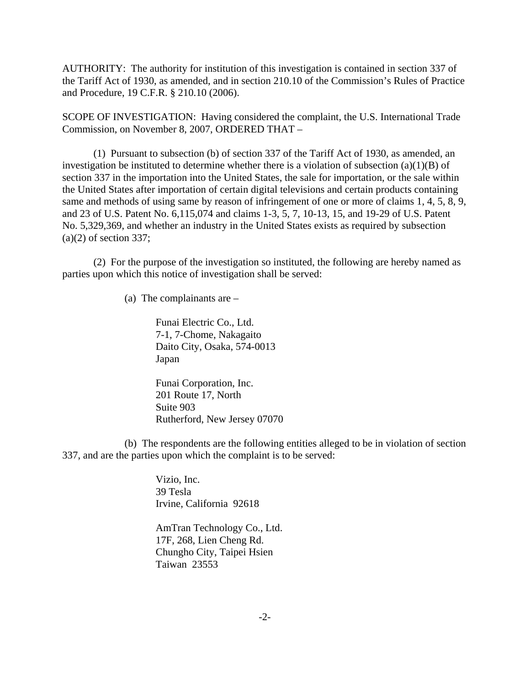AUTHORITY: The authority for institution of this investigation is contained in section 337 of the Tariff Act of 1930, as amended, and in section 210.10 of the Commission's Rules of Practice and Procedure, 19 C.F.R. § 210.10 (2006).

SCOPE OF INVESTIGATION: Having considered the complaint, the U.S. International Trade Commission, on November 8, 2007, ORDERED THAT –

(1) Pursuant to subsection (b) of section 337 of the Tariff Act of 1930, as amended, an investigation be instituted to determine whether there is a violation of subsection  $(a)(1)(B)$  of section 337 in the importation into the United States, the sale for importation, or the sale within the United States after importation of certain digital televisions and certain products containing same and methods of using same by reason of infringement of one or more of claims 1, 4, 5, 8, 9, and 23 of U.S. Patent No. 6,115,074 and claims 1-3, 5, 7, 10-13, 15, and 19-29 of U.S. Patent No. 5,329,369, and whether an industry in the United States exists as required by subsection  $(a)(2)$  of section 337;

(2) For the purpose of the investigation so instituted, the following are hereby named as parties upon which this notice of investigation shall be served:

(a) The complainants are –

Funai Electric Co., Ltd. 7-1, 7-Chome, Nakagaito Daito City, Osaka, 574-0013 Japan

Funai Corporation, Inc. 201 Route 17, North Suite 903 Rutherford, New Jersey 07070

(b) The respondents are the following entities alleged to be in violation of section 337, and are the parties upon which the complaint is to be served:

> Vizio, Inc. 39 Tesla Irvine, California 92618

AmTran Technology Co., Ltd. 17F, 268, Lien Cheng Rd. Chungho City, Taipei Hsien Taiwan 23553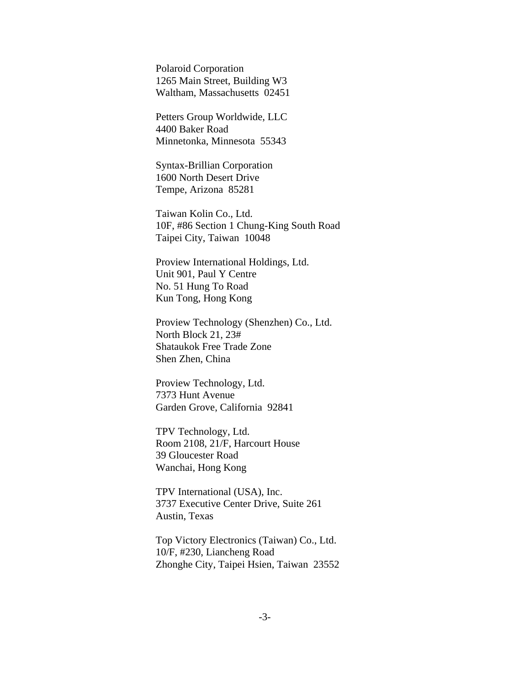Polaroid Corporation 1265 Main Street, Building W3 Waltham, Massachusetts 02451

Petters Group Worldwide, LLC 4400 Baker Road Minnetonka, Minnesota 55343

Syntax-Brillian Corporation 1600 North Desert Drive Tempe, Arizona 85281

Taiwan Kolin Co., Ltd. 10F, #86 Section 1 Chung-King South Road Taipei City, Taiwan 10048

Proview International Holdings, Ltd. Unit 901, Paul Y Centre No. 51 Hung To Road Kun Tong, Hong Kong

Proview Technology (Shenzhen) Co., Ltd. North Block 21, 23# Shataukok Free Trade Zone Shen Zhen, China

Proview Technology, Ltd. 7373 Hunt Avenue Garden Grove, California 92841

TPV Technology, Ltd. Room 2108, 21/F, Harcourt House 39 Gloucester Road Wanchai, Hong Kong

TPV International (USA), Inc. 3737 Executive Center Drive, Suite 261 Austin, Texas

Top Victory Electronics (Taiwan) Co., Ltd. 10/F, #230, Liancheng Road Zhonghe City, Taipei Hsien, Taiwan 23552